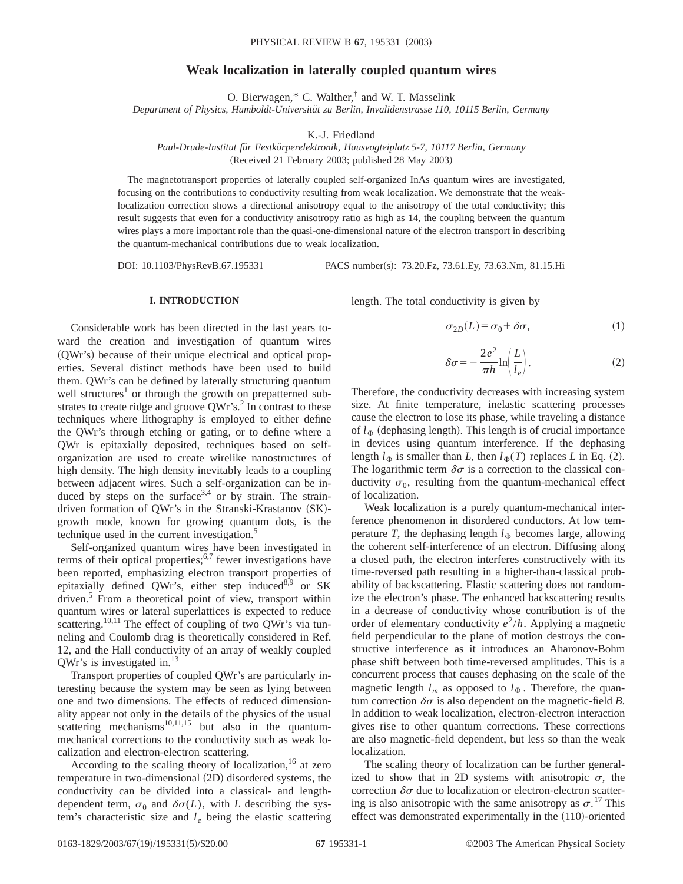## **Weak localization in laterally coupled quantum wires**

O. Bierwagen,\* C. Walther,† and W. T. Masselink

*Department of Physics, Humboldt-Universita¨t zu Berlin, Invalidenstrasse 110, 10115 Berlin, Germany*

K.-J. Friedland

*Paul-Drude-Institut fu¨r Festko¨rperelektronik, Hausvogteiplatz 5-7, 10117 Berlin, Germany*

(Received 21 February 2003; published 28 May 2003)

The magnetotransport properties of laterally coupled self-organized InAs quantum wires are investigated, focusing on the contributions to conductivity resulting from weak localization. We demonstrate that the weaklocalization correction shows a directional anisotropy equal to the anisotropy of the total conductivity; this result suggests that even for a conductivity anisotropy ratio as high as 14, the coupling between the quantum wires plays a more important role than the quasi-one-dimensional nature of the electron transport in describing the quantum-mechanical contributions due to weak localization.

DOI: 10.1103/PhysRevB.67.195331 PACS number(s): 73.20.Fz, 73.61.Ey, 73.63.Nm, 81.15.Hi

## **I. INTRODUCTION**

Considerable work has been directed in the last years toward the creation and investigation of quantum wires (QWr's) because of their unique electrical and optical properties. Several distinct methods have been used to build them. QWr's can be defined by laterally structuring quantum well structures<sup>1</sup> or through the growth on prepatterned substrates to create ridge and groove  $QWr's<sup>2</sup>$ . In contrast to these techniques where lithography is employed to either define the QWr's through etching or gating, or to define where a QWr is epitaxially deposited, techniques based on selforganization are used to create wirelike nanostructures of high density. The high density inevitably leads to a coupling between adjacent wires. Such a self-organization can be induced by steps on the surface<sup>3,4</sup> or by strain. The straindriven formation of QWr's in the Stranski-Krastanov (SK)growth mode, known for growing quantum dots, is the technique used in the current investigation.<sup>5</sup>

Self-organized quantum wires have been investigated in terms of their optical properties; $6,7$  fewer investigations have been reported, emphasizing electron transport properties of epitaxially defined OWr's, either step induced<sup>8,9</sup> or SK driven.<sup>5</sup> From a theoretical point of view, transport within quantum wires or lateral superlattices is expected to reduce scattering.<sup>10,11</sup> The effect of coupling of two QWr's via tunneling and Coulomb drag is theoretically considered in Ref. 12, and the Hall conductivity of an array of weakly coupled QWr's is investigated in.<sup>13</sup>

Transport properties of coupled QWr's are particularly interesting because the system may be seen as lying between one and two dimensions. The effects of reduced dimensionality appear not only in the details of the physics of the usual scattering mechanisms<sup>10,11,15</sup> but also in the quantummechanical corrections to the conductivity such as weak localization and electron-electron scattering.

According to the scaling theory of localization,<sup>16</sup> at zero temperature in two-dimensional  $(2D)$  disordered systems, the conductivity can be divided into a classical- and lengthdependent term,  $\sigma_0$  and  $\delta\sigma(L)$ , with *L* describing the system's characteristic size and  $l_e$  being the elastic scattering length. The total conductivity is given by

$$
\sigma_{2D}(L) = \sigma_0 + \delta \sigma,\tag{1}
$$

$$
\delta \sigma = -\frac{2e^2}{\pi h} \ln \left( \frac{L}{l_e} \right). \tag{2}
$$

Therefore, the conductivity decreases with increasing system size. At finite temperature, inelastic scattering processes cause the electron to lose its phase, while traveling a distance of  $l_{\Phi}$  (dephasing length). This length is of crucial importance in devices using quantum interference. If the dephasing length  $l_{\Phi}$  is smaller than *L*, then  $l_{\Phi}(T)$  replaces *L* in Eq. (2). The logarithmic term  $\delta \sigma$  is a correction to the classical conductivity  $\sigma_0$ , resulting from the quantum-mechanical effect of localization.

Weak localization is a purely quantum-mechanical interference phenomenon in disordered conductors. At low temperature *T*, the dephasing length  $l_{\Phi}$  becomes large, allowing the coherent self-interference of an electron. Diffusing along a closed path, the electron interferes constructively with its time-reversed path resulting in a higher-than-classical probability of backscattering. Elastic scattering does not randomize the electron's phase. The enhanced backscattering results in a decrease of conductivity whose contribution is of the order of elementary conductivity  $e^2/h$ . Applying a magnetic field perpendicular to the plane of motion destroys the constructive interference as it introduces an Aharonov-Bohm phase shift between both time-reversed amplitudes. This is a concurrent process that causes dephasing on the scale of the magnetic length  $l_m$  as opposed to  $l_{\Phi}$ . Therefore, the quantum correction  $\delta \sigma$  is also dependent on the magnetic-field *B*. In addition to weak localization, electron-electron interaction gives rise to other quantum corrections. These corrections are also magnetic-field dependent, but less so than the weak localization.

The scaling theory of localization can be further generalized to show that in 2D systems with anisotropic  $\sigma$ , the correction  $\delta\sigma$  due to localization or electron-electron scattering is also anisotropic with the same anisotropy as  $\sigma$ .<sup>17</sup> This effect was demonstrated experimentally in the (110)-oriented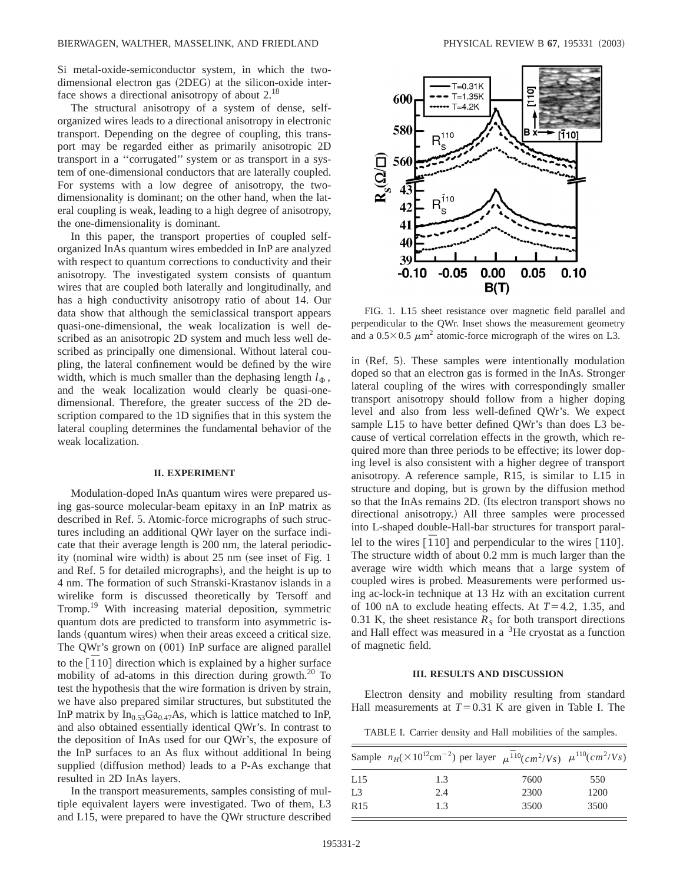Si metal-oxide-semiconductor system, in which the twodimensional electron gas  $(2DEG)$  at the silicon-oxide interface shows a directional anisotropy of about 2.<sup>18</sup>

The structural anisotropy of a system of dense, selforganized wires leads to a directional anisotropy in electronic transport. Depending on the degree of coupling, this transport may be regarded either as primarily anisotropic 2D transport in a ''corrugated'' system or as transport in a system of one-dimensional conductors that are laterally coupled. For systems with a low degree of anisotropy, the twodimensionality is dominant; on the other hand, when the lateral coupling is weak, leading to a high degree of anisotropy, the one-dimensionality is dominant.

In this paper, the transport properties of coupled selforganized InAs quantum wires embedded in InP are analyzed with respect to quantum corrections to conductivity and their anisotropy. The investigated system consists of quantum wires that are coupled both laterally and longitudinally, and has a high conductivity anisotropy ratio of about 14. Our data show that although the semiclassical transport appears quasi-one-dimensional, the weak localization is well described as an anisotropic 2D system and much less well described as principally one dimensional. Without lateral coupling, the lateral confinement would be defined by the wire width, which is much smaller than the dephasing length  $l_{\Phi}$ , and the weak localization would clearly be quasi-onedimensional. Therefore, the greater success of the 2D description compared to the 1D signifies that in this system the lateral coupling determines the fundamental behavior of the weak localization.

## **II. EXPERIMENT**

Modulation-doped InAs quantum wires were prepared using gas-source molecular-beam epitaxy in an InP matrix as described in Ref. 5. Atomic-force micrographs of such structures including an additional QWr layer on the surface indicate that their average length is 200 nm, the lateral periodicity (nominal wire width) is about  $25$  nm (see inset of Fig. 1 and Ref. 5 for detailed micrographs), and the height is up to 4 nm. The formation of such Stranski-Krastanov islands in a wirelike form is discussed theoretically by Tersoff and Tromp.<sup>19</sup> With increasing material deposition, symmetric quantum dots are predicted to transform into asymmetric islands (quantum wires) when their areas exceed a critical size. The QWr's grown on (001) InP surface are aligned parallel to the  $[110]$  direction which is explained by a higher surface mobility of ad-atoms in this direction during growth. $20$  To test the hypothesis that the wire formation is driven by strain, we have also prepared similar structures, but substituted the InP matrix by  $In_{0.53}Ga_{0.47}As$ , which is lattice matched to InP, and also obtained essentially identical QWr's. In contrast to the deposition of InAs used for our QWr's, the exposure of the InP surfaces to an As flux without additional In being supplied (diffusion method) leads to a P-As exchange that resulted in 2D InAs layers.

In the transport measurements, samples consisting of multiple equivalent layers were investigated. Two of them, L3 and L15, were prepared to have the QWr structure described



FIG. 1. L15 sheet resistance over magnetic field parallel and perpendicular to the QWr. Inset shows the measurement geometry and a  $0.5 \times 0.5 \ \mu \text{m}^2$  atomic-force micrograph of the wires on L3.

in (Ref. 5). These samples were intentionally modulation doped so that an electron gas is formed in the InAs. Stronger lateral coupling of the wires with correspondingly smaller transport anisotropy should follow from a higher doping level and also from less well-defined QWr's. We expect sample L15 to have better defined QWr's than does L3 because of vertical correlation effects in the growth, which required more than three periods to be effective; its lower doping level is also consistent with a higher degree of transport anisotropy. A reference sample, R15, is similar to L15 in structure and doping, but is grown by the diffusion method so that the InAs remains 2D. (Its electron transport shows no directional anisotropy.) All three samples were processed into L-shaped double-Hall-bar structures for transport parallel to the wires  $\begin{bmatrix} 110 \end{bmatrix}$  and perpendicular to the wires  $\begin{bmatrix} 110 \end{bmatrix}$ . The structure width of about 0.2 mm is much larger than the average wire width which means that a large system of coupled wires is probed. Measurements were performed using ac-lock-in technique at 13 Hz with an excitation current of 100 nA to exclude heating effects. At  $T=4.2$ , 1.35, and 0.31 K, the sheet resistance  $R<sub>S</sub>$  for both transport directions and Hall effect was measured in a <sup>3</sup>He cryostat as a function of magnetic field.

## **III. RESULTS AND DISCUSSION**

Electron density and mobility resulting from standard Hall measurements at  $T=0.31$  K are given in Table I. The

TABLE I. Carrier density and Hall mobilities of the samples.

|                 | Sample $n_H(\times 10^{12} \text{cm}^{-2})$ per layer $\mu^{10}(cm^2/V_s)$ $\mu^{110}(cm^2/V_s)$ |      |      |
|-----------------|--------------------------------------------------------------------------------------------------|------|------|
| L15             | 1.3                                                                                              | 7600 | 550  |
| L <sub>3</sub>  | 2.4                                                                                              | 2300 | 1200 |
| R <sub>15</sub> | 1.3                                                                                              | 3500 | 3500 |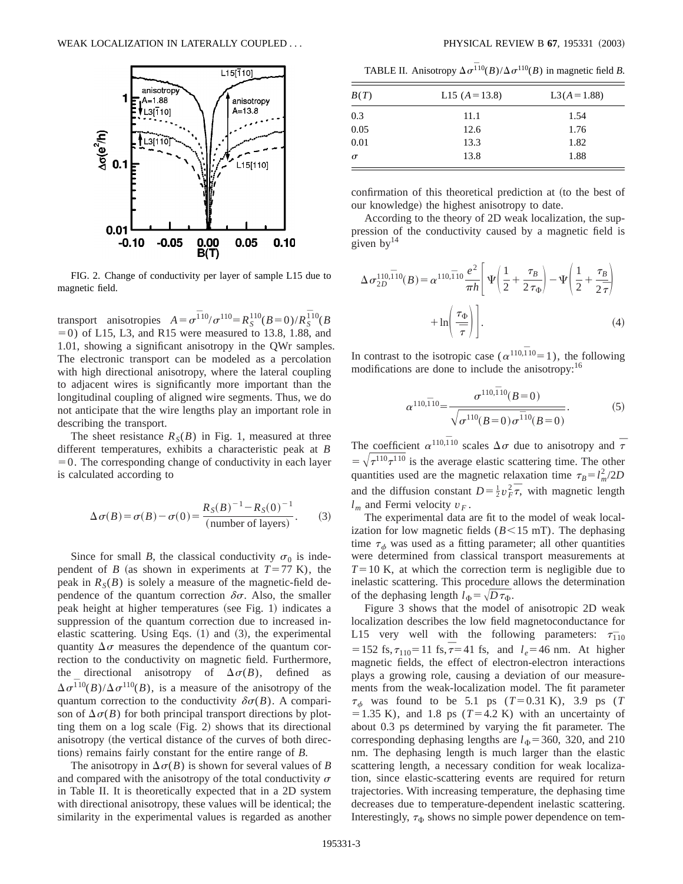

FIG. 2. Change of conductivity per layer of sample L15 due to magnetic field.

transport anisotropies  $A = \sigma^{10} / \sigma^{110} = R_S^{110} (B = 0) / R_S^{110} (B = 0)$  $(50)$  of L15, L3, and R15 were measured to 13.8, 1.88, and 1.01, showing a significant anisotropy in the QWr samples. The electronic transport can be modeled as a percolation with high directional anisotropy, where the lateral coupling to adjacent wires is significantly more important than the longitudinal coupling of aligned wire segments. Thus, we do not anticipate that the wire lengths play an important role in describing the transport.

The sheet resistance  $R_S(B)$  in Fig. 1, measured at three different temperatures, exhibits a characteristic peak at *B*  $=0$ . The corresponding change of conductivity in each layer is calculated according to

$$
\Delta \sigma(B) = \sigma(B) - \sigma(0) = \frac{R_S(B)^{-1} - R_S(0)^{-1}}{\text{(number of layers)}}.
$$
 (3)

Since for small *B*, the classical conductivity  $\sigma_0$  is independent of *B* (as shown in experiments at  $T=77$  K), the peak in  $R<sub>S</sub>(B)$  is solely a measure of the magnetic-field dependence of the quantum correction  $\delta\sigma$ . Also, the smaller peak height at higher temperatures (see Fig. 1) indicates a suppression of the quantum correction due to increased inelastic scattering. Using Eqs.  $(1)$  and  $(3)$ , the experimental quantity  $\Delta \sigma$  measures the dependence of the quantum correction to the conductivity on magnetic field. Furthermore, the directional anisotropy of  $\Delta \sigma(B)$ , defined as  $\Delta \sigma^{110}(B)/\Delta \sigma^{110}(B)$ , is a measure of the anisotropy of the quantum correction to the conductivity  $\delta \sigma(B)$ . A comparison of  $\Delta \sigma(B)$  for both principal transport directions by plotting them on a log scale  $(Fig. 2)$  shows that its directional anisotropy (the vertical distance of the curves of both directions) remains fairly constant for the entire range of *B*.

The anisotropy in  $\Delta \sigma(B)$  is shown for several values of *B* and compared with the anisotropy of the total conductivity  $\sigma$ in Table II. It is theoretically expected that in a 2D system with directional anisotropy, these values will be identical; the similarity in the experimental values is regarded as another

TABLE II. Anisotropy  $\Delta \sigma^{110}(B)/\Delta \sigma^{110}(B)$  in magnetic field *B*.

| B(T)     | L15 $(A=13.8)$ | $L3(A=1.88)$ |
|----------|----------------|--------------|
| 0.3      | 11.1           | 1.54         |
| 0.05     | 12.6           | 1.76         |
| 0.01     | 13.3           | 1.82         |
| $\sigma$ | 13.8           | 1.88         |

confirmation of this theoretical prediction at (to the best of our knowledge) the highest anisotropy to date.

According to the theory of 2D weak localization, the suppression of the conductivity caused by a magnetic field is given by $14$ 

$$
\Delta \sigma_{2D}^{110,\overline{1}10}(B) = \alpha^{110,\overline{1}10} \frac{e^2}{\pi h} \left[ \Psi \left( \frac{1}{2} + \frac{\tau_B}{2 \tau_{\Phi}} \right) - \Psi \left( \frac{1}{2} + \frac{\tau_B}{2 \overline{\tau}} \right) + \ln \left( \frac{\tau_{\Phi}}{\overline{\tau}} \right) \right].
$$
\n(4)

In contrast to the isotropic case ( $\alpha^{110,110}$ =1), the following modifications are done to include the anisotropy:<sup>16</sup>

$$
\alpha^{110,\overline{1}10} = \frac{\sigma^{110,\overline{1}10}(B=0)}{\sqrt{\sigma^{110}(B=0)\sigma^{\overline{1}10}(B=0)}}.
$$
 (5)

The coefficient  $\alpha^{110,\overline{1}10}$  scales  $\Delta \sigma$  due to anisotropy and  $\bar{\tau}$  $=\sqrt{\tau^{110}\tau^{110}}$  is the average elastic scattering time. The other quantities used are the magnetic relaxation time  $\tau_B = l_m^2 / 2D$ and the diffusion constant  $D = \frac{1}{2} v_F^2 \overline{\tau}$ , with magnetic length  $l_m$  and Fermi velocity  $v_F$ .

The experimental data are fit to the model of weak localization for low magnetic fields  $(B<15$  mT). The dephasing time  $\tau_{\phi}$  was used as a fitting parameter; all other quantities were determined from classical transport measurements at  $T=10$  K, at which the correction term is negligible due to inelastic scattering. This procedure allows the determination of the dephasing length  $l_{\Phi} = \sqrt{D \tau_{\Phi}}$ .

Figure 3 shows that the model of anisotropic 2D weak localization describes the low field magnetoconductance for L15 very well with the following parameters:  $\tau_{110}$  $= 152$  fs,  $\tau_{110} = 11$  fs,  $\tau = 41$  fs, and  $l_e = 46$  nm. At higher magnetic fields, the effect of electron-electron interactions plays a growing role, causing a deviation of our measurements from the weak-localization model. The fit parameter  $\tau_{\phi}$  was found to be 5.1 ps ( $T=0.31$  K), 3.9 ps ( $T$  $=1.35$  K), and 1.8 ps ( $T=4.2$  K) with an uncertainty of about 0.3 ps determined by varying the fit parameter. The corresponding dephasing lengths are  $l_{\Phi}$ =360, 320, and 210 nm. The dephasing length is much larger than the elastic scattering length, a necessary condition for weak localization, since elastic-scattering events are required for return trajectories. With increasing temperature, the dephasing time decreases due to temperature-dependent inelastic scattering. Interestingly,  $\tau_{\Phi}$  shows no simple power dependence on tem-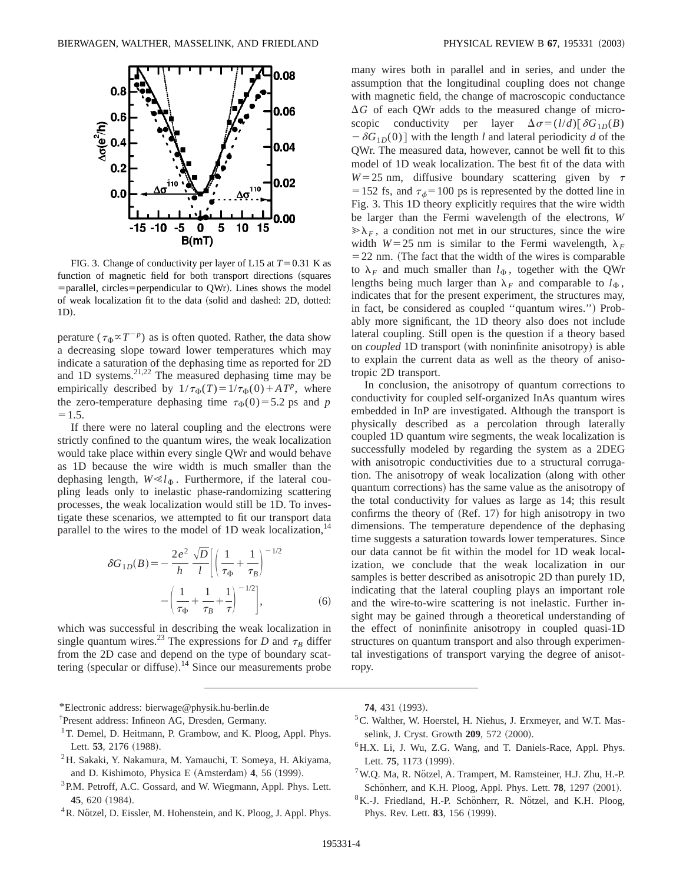

FIG. 3. Change of conductivity per layer of L15 at  $T=0.31$  K as function of magnetic field for both transport directions (squares  $=$  parallel, circles  $=$  perpendicular to QWr). Lines shows the model of weak localization fit to the data (solid and dashed: 2D, dotted: 1D).

perature ( $\tau_{\Phi} \propto T^{-p}$ ) as is often quoted. Rather, the data show a decreasing slope toward lower temperatures which may indicate a saturation of the dephasing time as reported for 2D and 1D systems. $^{21,22}$  The measured dephasing time may be empirically described by  $1/\tau_{\Phi}(T) = 1/\tau_{\Phi}(0) + A T^{p}$ , where the zero-temperature dephasing time  $\tau_{\Phi}(0)$ =5.2 ps and *p*  $=1.5.$ 

If there were no lateral coupling and the electrons were strictly confined to the quantum wires, the weak localization would take place within every single QWr and would behave as 1D because the wire width is much smaller than the dephasing length,  $W \ll l_{\Phi}$ . Furthermore, if the lateral coupling leads only to inelastic phase-randomizing scattering processes, the weak localization would still be 1D. To investigate these scenarios, we attempted to fit our transport data parallel to the wires to the model of 1D weak localization,  $14$ 

$$
\delta G_{1D}(B) = -\frac{2e^2}{h} \frac{\sqrt{D}}{l} \left[ \left( \frac{1}{\tau_{\Phi}} + \frac{1}{\tau_B} \right)^{-1/2} - \left( \frac{1}{\tau_{\Phi}} + \frac{1}{\tau_B} + \frac{1}{\tau} \right)^{-1/2} \right],
$$
(6)

which was successful in describing the weak localization in single quantum wires.<sup>23</sup> The expressions for *D* and  $\tau_B$  differ from the 2D case and depend on the type of boundary scattering (specular or diffuse).<sup>14</sup> Since our measurements probe

\*Electronic address: bierwage@physik.hu-berlin.de

† Present address: Infineon AG, Dresden, Germany.

- <sup>1</sup>T. Demel, D. Heitmann, P. Grambow, and K. Ploog, Appl. Phys. Lett. 53, 2176 (1988).
- 2H. Sakaki, Y. Nakamura, M. Yamauchi, T. Someya, H. Akiyama, and D. Kishimoto, Physica E (Amsterdam) **4**, 56 (1999).
- <sup>3</sup>P.M. Petroff, A.C. Gossard, and W. Wiegmann, Appl. Phys. Lett. 45, 620 (1984).
- ${}^{4}R$ . Nötzel, D. Eissler, M. Hohenstein, and K. Ploog, J. Appl. Phys.

many wires both in parallel and in series, and under the assumption that the longitudinal coupling does not change with magnetic field, the change of macroscopic conductance  $\Delta G$  of each QWr adds to the measured change of microscopic conductivity per layer  $\Delta \sigma = (l/d)[\delta G_{1D}(B)$  $-\delta G_{1D}(0)$  with the length *l* and lateral periodicity *d* of the QWr. The measured data, however, cannot be well fit to this model of 1D weak localization. The best fit of the data with  $W=25$  nm, diffusive boundary scattering given by  $\tau$ = 152 fs, and  $\tau_{\phi}$ = 100 ps is represented by the dotted line in Fig. 3. This 1D theory explicitly requires that the wire width be larger than the Fermi wavelength of the electrons, *W*  $\gg \lambda_F$ , a condition not met in our structures, since the wire width  $W=25$  nm is similar to the Fermi wavelength,  $\lambda_F$  $=$  22 nm. (The fact that the width of the wires is comparable to  $\lambda_F$  and much smaller than  $l_{\Phi}$ , together with the QWr lengths being much larger than  $\lambda_F$  and comparable to  $l_{\Phi}$ , indicates that for the present experiment, the structures may, in fact, be considered as coupled "quantum wires.") Probably more significant, the 1D theory also does not include lateral coupling. Still open is the question if a theory based on *coupled* 1D transport (with noninfinite anisotropy) is able to explain the current data as well as the theory of anisotropic 2D transport.

In conclusion, the anisotropy of quantum corrections to conductivity for coupled self-organized InAs quantum wires embedded in InP are investigated. Although the transport is physically described as a percolation through laterally coupled 1D quantum wire segments, the weak localization is successfully modeled by regarding the system as a 2DEG with anisotropic conductivities due to a structural corrugation. The anisotropy of weak localization (along with other quantum corrections) has the same value as the anisotropy of the total conductivity for values as large as 14; this result confirms the theory of  $(Ref. 17)$  for high anisotropy in two dimensions. The temperature dependence of the dephasing time suggests a saturation towards lower temperatures. Since our data cannot be fit within the model for 1D weak localization, we conclude that the weak localization in our samples is better described as anisotropic 2D than purely 1D, indicating that the lateral coupling plays an important role and the wire-to-wire scattering is not inelastic. Further insight may be gained through a theoretical understanding of the effect of noninfinite anisotropy in coupled quasi-1D structures on quantum transport and also through experimental investigations of transport varying the degree of anisotropy.

**74**, 431 (1993).

- 5C. Walther, W. Hoerstel, H. Niehus, J. Erxmeyer, and W.T. Masselink, J. Cryst. Growth **209**, 572 (2000).
- 6H.X. Li, J. Wu, Z.G. Wang, and T. Daniels-Race, Appl. Phys. Lett. 75, 1173 (1999).
- $7$ W.Q. Ma, R. Nötzel, A. Trampert, M. Ramsteiner, H.J. Zhu, H.-P. Schönherr, and K.H. Ploog, Appl. Phys. Lett. **78**, 1297 (2001).
- ${}^{8}$ K.-J. Friedland, H.-P. Schönherr, R. Nötzel, and K.H. Ploog, Phys. Rev. Lett. **83**, 156 (1999).